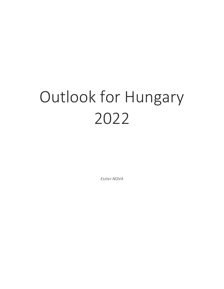# Outlook for Hungary 2022

*Eszter NOVA*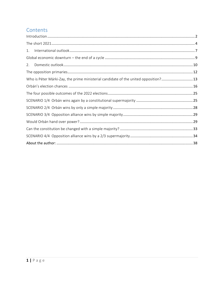#### Contents

| 1.                                                                                  |  |
|-------------------------------------------------------------------------------------|--|
|                                                                                     |  |
| 2.                                                                                  |  |
|                                                                                     |  |
| Who is Péter Márki-Zay, the prime ministerial candidate of the united opposition?13 |  |
|                                                                                     |  |
|                                                                                     |  |
|                                                                                     |  |
|                                                                                     |  |
|                                                                                     |  |
|                                                                                     |  |
|                                                                                     |  |
|                                                                                     |  |
|                                                                                     |  |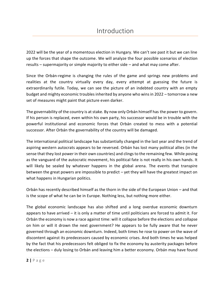<span id="page-2-0"></span>2022 will be the year of a momentous election in Hungary. We can't see past it but we can line up the forces that shape the outcome. We will analyze the four possible scenarios of election results – supermajority or simple majority to either side – and what may come after.

Since the Orbán-regime is changing the rules of the game and springs new problems and realities at the country virtually every day, every attempt at guessing the future is extraordinarily futile. Today, we can see the picture of an indebted country with an empty budget and mighty economic troubles inherited by anyone who wins in 2022 – tomorrow a new set of measures might paint that picture even darker.

The governability of the country is at stake. By now only Orbán himself has the power to govern. If his person is replaced, even within his own party, his successor would be in trouble with the powerful institutional and economic forces that Orbán created to mess with a potential successor. After Orbán the governability of the country will be damaged.

The international political landscape has substantially changed in the last year and the trend of aspiring western autocrats appears to be reversed. Orbán has lost many political allies (in the sense that they lost power in their own countries) and clings to the remaining few. While posing as the vanguard of the autocratic movement, his political fate is not really in his own hands. It will likely be sealed by whatever happens in the global arena. The events that transpire between the great powers are impossible to predict  $-$  yet they will have the greatest impact on what happens in Hungarian politics.

Orbán has recently described himself as the thorn in the side of the European Union – and that is the scope of what he can be in Europe. Nothing less, but nothing more either.

The global economic landscape has also shifted and a long overdue economic downturn appears to have arrived – it is only a matter of time until politicians are forced to admit it. For Orbán the economy is now a race against time: will it collapse before the elections and collapse on him or will it drown the next government? He appears to be fully aware that he never governed through an economic downturn. Indeed, both times he rose to power on the wave of discontent against its predecessors caused by economic crises. And both times he was helped by the fact that his predecessors felt obliged to fix the economy by austerity packages before the elections – duly losing to Orbán and leaving him a better economy. Orbán may have found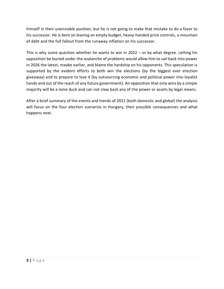himself in their unenviable position, but he is not going to make that mistake to do a favor to his successor. He is bent on leaving an empty budget, heavy-handed price controls, a mountain of debt and the full fallout from the runaway inflation on his successor.

This is why some question whether he wants to win in 2022 – or by what degree. Letting his opposition be buried under the avalanche of problems would allow him to sail back into power in 2026 the latest, maybe earlier, and blame the hardship on his opponents. This speculation is supported by the evident efforts to both win the elections (by the biggest ever election giveaway) and to prepare to lose it (by outsourcing economic and political power into loyalist hands and out of the reach of any future government). An opposition that only wins by a simple majority will be a lame duck and can not claw back any of the power or assets by legal means.

After a brief summary of the events and trends of 2021 (both domestic and global) the analysis will focus on the four election scenarios in Hungary, their possible consequences and what happens next.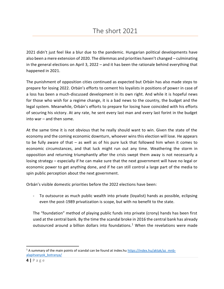<span id="page-4-0"></span>2021 didn't just feel like a blur due to the pandemic. Hungarian political developments have also been a mere extension of 2020. The dilemmas and priorities haven't changed – culminating in the general elections on April 3, 2022 – and it has been the rationale behind everything that happened in 2021.

The punishment of opposition cities continued as expected but Orbán has also made steps to prepare for losing 2022. Orbán's efforts to cement his loyalists in positions of power in case of a loss has been a much-discussed development in its own right. And while it is hopeful news for those who wish for a regime change, it is a bad news to the country, the budget and the legal system. Meanwhile, Orbán's efforts to prepare for losing have coincided with his efforts of securing his victory. At any rate, he sent every last man and every last forint in the budget into war – and then some.

At the same time it is not obvious that he really should want to win. Given the state of the economy and the coming economic downturn, whoever wins this election will lose. He appears to be fully aware of that – as well as of his pure luck that followed him when it comes to economic circumstances, and that luck might run out any time. Weathering the storm in opposition and returning triumphantly after the crisis swept them away is not necessarily a losing strategy – especially if he can make sure that the next government will have no legal or economic power to get anything done, and if he can still control a large part of the media to spin public perception about the next government.

Orbán's visible domestic priorities before the 2022 elections have been:

- To outsource as much public wealth into private (loyalist) hands as possible, eclipsing even the post-1989 privatization is scope, but with no benefit to the state.

The "foundation" method of playing public funds into private (crony) hands has been first used at the central bank. By the time the scandal broke in 2016 the central bank has already outsourced around a billion dollars into foundations.<sup>1</sup> When the revelations were made

 $\overline{a}$ 

<sup>&</sup>lt;sup>1</sup> A summary of the main points of scandal can be found at index.hu [https://index.hu/aktak/az\\_mnb](https://index.hu/aktak/az_mnb-alapitvanyok_botranya/)[alapitvanyok\\_botranya/](https://index.hu/aktak/az_mnb-alapitvanyok_botranya/)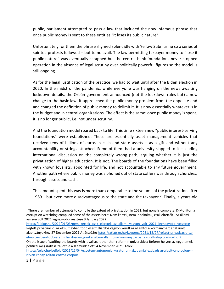public, parliament attempted to pass a law that included the now infamous phrase that once public money is sent to these entities "it loses its public nature".

Unfortunately for them the phrase rhymed splendidly with Yellow Submarine so a series of spirited protests followed – but to no avail. The law permitting taxpayer money to "lose it public nature" was eventually scrapped but the central bank foundations never stopped operation in the absence of legal scrutiny over politically powerful figures so the model is still ongoing.

As for the legal justification of the practice, we had to wait until after the Biden election in 2020. In the midst of the pandemic, while everyone was hanging on the news awaiting lockdown details, the Orbán-government announced (not the lockdown rules but) a new change to the basic law. It approached the public money problem from the opposite end and changed the definition of public money to delimit it. It is now essentially whatever is in the budget and in central organizations. The effect is the same: once public money is spent, it is no longer public, i.e. not under scrutiny.

And the foundation model roared back to life. This time sixteen new "public interest-serving foundations" were established. These are essentially asset management vehicles that received tens of billions of euros in cash and state assets – as a gift and without any accountability or strings attached. Some of them had a university slapped to it  $-$  leading international discussion on the completely wrong path, arguing whether it is just the privatization of higher education. It is not. The boards of the foundations have been filled with known loyalists, appointed for life, and not accountable to any future government. Another path where public money was siphoned out of state coffers was through churches, through assets and cash.

The amount spent this way is more than comparable to the volume of the privatization after 1989 – but even more disadvantageous to the state and the taxpayer.<sup>2</sup> Finally, a years-old

[https://k.blog.hu/2022/01/03/nem\\_kertek\\_csak\\_eltettek\\_az\\_allami\\_vagyon\\_volt\\_2021\\_legnagyobb\\_vesztese](https://k.blog.hu/2022/01/03/nem_kertek_csak_eltettek_az_allami_vagyon_volt_2021_legnagyobb_vesztese) Rejtett privatizáció: az elmúlt évben több ezermilliárdos vagyon került az államtól a kormánypárt által uralt alapítványokhoz 27 December 2021 Átlátszó.h[u https://atlatszo.hu/kozpenz/2021/12/27/rejtett-privatizacio-az](https://atlatszo.hu/kozpenz/2021/12/27/rejtett-privatizacio-az-elmult-evben-tobb-ezermilliardos-vagyon-kerult-az-allamtol-a-kormanypart-altal-uralt-alapitvanyokhoz/)[elmult-evben-tobb-ezermilliardos-vagyon-kerult-az-allamtol-a-kormanypart-altal-uralt-alapitvanyokhoz/](https://atlatszo.hu/kozpenz/2021/12/27/rejtett-privatizacio-az-elmult-evben-tobb-ezermilliardos-vagyon-kerult-az-allamtol-a-kormanypart-altal-uralt-alapitvanyokhoz/) On the issue of stuffing the boards with loyalists rather than reformin universities: Reform helyett az egyetemek politikai megszállása zajlott le a szemünk előtt 4 November 2021, Telex

 $\overline{a}$ <sup>2</sup> There are number of attempts to compile the extent of privatization in 2021, but none is complete. K-Monitor, a corruption watchdog compiled some of the assets here: Nem kérték, nem indokolták, csak eltették - Az állami vagyon volt 2021 legnagyobb vesztese 3 January 2022

[https://telex.hu/belfold/2021/11/04/egyetem-autonomia-kuratorium-akademiai-szabadsag-alapitvany-polonyi](https://telex.hu/belfold/2021/11/04/egyetem-autonomia-kuratorium-akademiai-szabadsag-alapitvany-polonyi-istvan-ronay-zoltan-eotvos-csoport)[istvan-ronay-zoltan-eotvos-csoport](https://telex.hu/belfold/2021/11/04/egyetem-autonomia-kuratorium-akademiai-szabadsag-alapitvany-polonyi-istvan-ronay-zoltan-eotvos-csoport)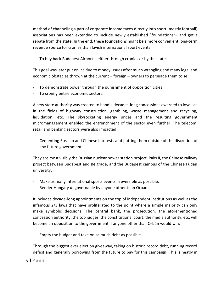method of channeling a part of corporate income taxes directly into sport (mostly football) associations has been extended to include newly established "foundations"– and get a rebate from the state. In the end, these foundations might be a more convenient long-term revenue source for cronies than lavish international sport events.

- To buy back Budapest Airport – either through cronies or by the state.

This goal was later put on ice due to money issues after much wrangling and many legal and economic obstacles thrown at the current – foreign – owners to persuade them to sell.

- To demonstrate power through the punishment of opposition cities.
- To cronify entire economic sectors.

A new state authority was created to handle decades-long concessions awarded to loyalists in the fields of highway construction, gambling, waste management and recycling, liquidation, etc. The skyrocketing energy prices and the resulting government micromanagement enabled the entrenchment of the sector even further. The telecom, retail and banking sectors were also impacted.

- Cementing Russian and Chinese interests and putting them outside of the discretion of any future government.

They are most visibly the Russian nuclear power station project, Paks II, the Chinese railway project between Budapest and Belgrade, and the Budapest campus of the Chinese Fudan university.

- Make as many international sports events irreversible as possible.
- Render Hungary ungovernable by anyone other than Orbán.

It includes decade-long appointments on the top of independent institutions as well as the infamous 2/3 laws that have proliferated to the point where a simple majority can only make symbolic decisions. The central bank, the prosecution, the aforementioned concession authority, the top judges, the constitutional court, the media authority, etc. will become an opposition to the government if anyone other than Orbán would win.

Empty the budget and take on as much debt as possible.

Through the biggest ever election giveaway, taking on historic record debt, running record deficit and generally borrowing from the future to pay for this campaign. This is neatly in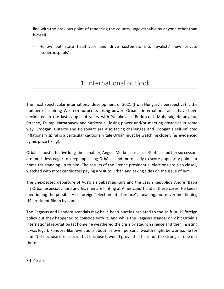line with the previous point of rendering the country ungovernable by anyone other than himself.

- Hollow out state healthcare and drive customers into loyalists' new private "superhospitals".

#### 1. International outlook

<span id="page-7-0"></span>The most spectacular international development of 2021 (from Hungary's perspective) is the number of aspiring Western autocrats losing power. Orbán's international allies have been decimated in the last couple of years with Yanukovich, Berlusconi, Mubarak, Netanyahu, Strache, Trump, Nazarbayev and Sarkozy all losing power and/or meeting obstacles in some way. Erdogan, Duterte and Bolsonaro are also facing challenges and Erdogan's self-inflicted inflationary spiral is a particular cautionary tale Orbán must be watching closely (as evidenced by his price fixing).

Orbán's most effective long-time enabler, Angela Merkel, has also left office and her successors are much less eager to keep appeasing Orbán – and more likely to score popularity points at home for standing up to him. The results of the French presidential elections are also closely watched with most candidates paying a visit to Orbán and taking sides on the issue of him.

The unexpected departure of Austria's Sebastian Kurz and the Czech Republic's Andrej Babiš hit Orbán especially hard and his men are hinting at Americans' hand in these cases. He keeps mentioning the possibility of foreign "election interference", meaning, but never mentioning US president Biden by name.

The Pegasus and Pandora scandals may have been purely unrelated to the shift in US foreign policy but they happened to coincide with it. And while the Pegasus scandal only hit Orbán's international reputation (at home he weathered the crisis by staunch silence and then insisting it was legal), Pandora-like revelations about his own, personal wealth might be worrisome for him. Not because it is a secret but because it would prove that he is not the strongest one out there.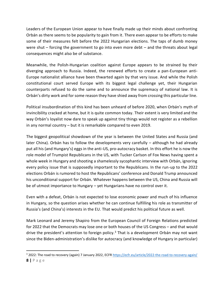Leaders of the European Union appear to have finally made up their minds about confronting Orbán as there seems to be popularity to gain from it. There even appear to be efforts to make some of their measures felt before the 2022 Hungarian elections. The taps of dumb money were shut – forcing the government to go into even more debt – and the threats about legal consequences might also be of substance.

Meanwhile, the Polish-Hungarian coalition against Europe appears to be strained by their diverging approach to Russia. Indeed, the renewed efforts to create a pan-European anti-Europe nationalist alliance have been thwarted again by that very issue. And while the Polish constitutional court served Europe with its biggest legal challenge yet, their Hungarian counterparts refused to do the same and to announce the supremacy of national law. It is Orbán's dirty work and for some reason they have shied away from crossing this particular line.

Political insubordination of this kind has been unheard of before 2020, when Orbán's myth of invincibility cracked at home, but it is quite common today. Their extent is very limited and the way Orbán's loyalist now dare to speak up against tiny things would not register as a rebellion in any normal country – but it is remarkable compared to even 2019.

The biggest geopolitical showdown of the year is between the United States and Russia (and later China). Orbán has to follow the developments very carefully – although he had already put all his (and Hungary's) eggs in the anti-US, pro-autocracy basket. In this effort he is now the role model of Trumpist Republicans in the US, with Tucker Carlson of Fox News having spent a whole week in Hungary and shooting a shamelessly sycophantic interview with Orbán, ignoring every policy issue that is supposedly important to the Republicans. In the run-up to the 2022 elections Orbán is rumored to host the Republicans' conference and Donald Trump announced his unconditional support for Orbán. Whatever happens between the US, China and Russia will be of utmost importance to Hungary – yet Hungarians have no control over it.

Even with a defeat, Orbán is not expected to lose economic power and much of his influence in Hungary, so the question arises whether he can continue fulfilling his role as transmitter of Russia's (and China's) interests in the EU. That would predict his political future as well.

Mark Leonard and Jeremy Shapiro from the European Council of Foreign Relations predicted for 2022 that the Democrats may lose one or both houses of the US Congress – and that would drive the president's attention to foreign policy.<sup>3</sup> That is a development Orbán may not want since the Biden-administration's dislike for autocracy (and knowledge of Hungary in particular)

 $\overline{\phantom{a}}$ 

**<sup>8</sup> |** P a g e <sup>3</sup> 2022: The road to recovery (again) 7 January 2022, ECFR<https://ecfr.eu/article/2022-the-road-to-recovery-again/>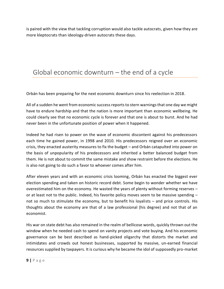is paired with the view that tackling corruption would also tackle autocrats, given how they are more kleptocrats than ideology-driven autocrats these days.

#### <span id="page-9-0"></span>Global economic downturn – the end of a cycle

Orbán has been preparing for the next economic downturn since his reelection in 2018.

All of a sudden he went from economic success reports to stern warnings that one day we might have to endure hardship and that the nation is more important than economic wellbeing. He could clearly see that no economic cycle is forever and that one is about to burst. And he had never been in the unfortunate position of power when it happened.

Indeed he had risen to power on the wave of economic discontent against his predecessors each time he gained power, in 1998 and 2010. His predecessors reigned over an economic crisis, they enacted austerity measures to fix the budget – and Orbán catapulted into power on the basis of unpopularity of his predecessors and inherited a better balanced budget from them. He is not about to commit the same mistake and show restraint before the elections. He is also not going to do such a favor to whoever comes after him.

After eleven years and with an economic crisis looming, Orbán has enacted the biggest ever election spending and taken on historic record debt. Some begin to wonder whether we have overestimated him on the economy. He wasted the years of plenty without forming reserves – or at least not to the public. Indeed, his favorite policy moves seem to be massive spending – not so much to stimulate the economy, but to benefit his loyalists – and price controls. His thoughts about the economy are that of a law professional (his degree) and not that of an economist.

His war on state debt has also remained in the realm of bellicose words, quickly thrown out the window when he needed cash to spend on vanity projects and vote buying. And his economic governance can be best described as hand-picked oligarchy that distorts the market and intimidates and crowds out honest businesses, supported by massive, un-earned financial resources supplied by taxpayers. It is curious why he became the idol of supposedly pro-market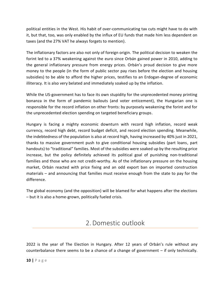political entities in the West. His habit of over-communicating tax cuts might have to do with it, but that, too, was only enabled by the influx of EU funds that made him less dependent on taxes (and the 27% VAT he always forgets to mention).

The inflationary factors are also not only of foreign origin. The political decision to weaken the forint led to a 37% weakening against the euro since Orbán gained power in 2010, adding to the general inflationary pressure from energy prices. Orbán's proud decision to give more money to the people (in the form of public sector pay rises before the election and housing subsidies) to be able to afford the higher prices, testifies to an Erdogan-degree of economic illiteracy. It is also very belated and immediately soaked up by the inflation.

While the US-government has to face its own stupidity for the unprecedented money printing bonanza in the form of pandemic bailouts (and voter enticement), the Hungarian one is responsible for the record inflation on other fronts: by purposely weakening the forint and for the unprecedented election spending on targeted beneficiary groups.

Hungary is facing a mighty economic downturn with record high inflation, record weak currency, record high debt, record budget deficit, and record election spending. Meanwhile, the indebtedness of the population is also at record high, having increased by 40% just in 2021, thanks to massive government push to give conditional housing subsidies (part loans, part handouts) to "traditional" families. Most of the subsidies were soaked up by the resulting price increase, but the policy definitely achieved its political goal of punishing non-traditional families and those who are not credit-worthy. As of the inflationary pressure on the housing market, Orbán reacted with price fixing and an odd export ban on imported construction materials – and announcing that families must receive enough from the state to pay for the difference.

The global economy (and the opposition) will be blamed for what happens after the elections – but it is also a home-grown, politically fueled crisis.

#### 2.Domestic outlook

<span id="page-10-0"></span>2022 is the year of The Election in Hungary. After 12 years of Orbán's rule without any counterbalance there seems to be a chance of a change of government – if only technically.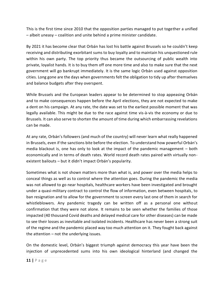This is the first time since 2010 that the opposition parties managed to put together a unified – albeit uneasy – coalition and unite behind a prime minister candidate.

By 2021 it has become clear that Orbán has lost his battle against Brussels so he couldn't keep receiving and distributing exorbitant sums to buy loyalty and to maintain his unquestioned rule within his own party. The top priority thus became the outsourcing of public wealth into private, loyalist hands. It is to buy them off one more time and also to make sure that the next government will go bankrupt immediately. It is the same logic Orbán used against opposition cities. Long gone are the days when governments felt the obligation to tidy up after themselves and balance budgets after they overspent.

While Brussels and the European leaders appear to be determined to stop appeasing Orbán and to make consequences happen before the April elections, they are not expected to make a dent on his campaign. At any rate, the date was set to the earliest possible moment that was legally available. This might be due to the race against time vis-à-vis the economy or due to Brussels. It can also serve to shorten the amount of time during which embarrassing revelations can be made.

At any rate, Orbán's followers (and much of the country) will never learn what really happened in Brussels, even if the sanctions bite before the election. To understand how powerful Orbán's media blackout is, one has only to look at the impact of the pandemic management – both economically and in terms of death rates. World record death rates paired with virtually nonexistent bailouts – but it didn't impact Orbán's popularity.

Sometimes what is not shown matters more than what is, and power over the media helps to conceal things as well as to control where the attention goes. During the pandemic the media was not allowed to go near hospitals, healthcare workers have been investigated and brought under a quasi-military contract to control the flow of information, even between hospitals, to ban resignation and to allow for the government to screen every last one of them in search for whistleblowers. Any pandemic tragedy can be written off as a personal one without confirmation that they were not alone. It remains to be seen whether the families of those impacted (40 thousand Covid deaths and delayed medical care for other diseases) can be made to see their losses as inevitable and isolated incidents. Healthcare has never been a strong suit of the regime and the pandemic placed way too much attention on it. They fought back against the attention – not the underlying issues.

On the domestic level, Orbán's biggest triumph against democracy this year have been the injection of unprecedented sums into his own ideological hinterland (and changed the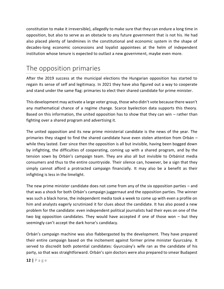constitution to make it irreversible), allegedly to make sure that they can endure a long time in opposition, but also to serve as an obstacle to any future government that is not his. He had also placed plenty of landmines in the constitutional and economic system in the shape of decades-long economic concessions and loyalist appointees at the helm of independent institution whose tenure is expected to outlast a new government, maybe even more.

#### <span id="page-12-0"></span>The opposition primaries

After the 2019 success at the municipal elections the Hungarian opposition has started to regain its sense of self and legitimacy. In 2021 they have also figured out a way to cooperate and stand under the same flag: primaries to elect their shared candidate for prime minister.

This development may activate a large voter group, those who didn't vote because there wasn't any mathematical chance of a regime change. Scarce byelection data supports this theory. Based on this information, the united opposition has to show that they can win – rather than fighting over a shared program and advertising it.

The united opposition and its new prime ministerial candidate is the news of the year. The primaries they staged to find the shared candidate have even stolen attention from Orbán – while they lasted. Ever since then the opposition is all but invisible, having been bogged down by infighting, the difficulties of cooperating, coming up with a shared program, and by the tension sown by Orbán's campaign team. They are also all but invisible to Orbánist media consumers and thus to the entire countryside. Their silence can, however, be a sign that they simply cannot afford a protracted campaign financially. It may also be a benefit as their infighting is less in the limelight.

The new prime minister candidate does not come from any of the six opposition parties – and that was a shock for both Orbán's campaign juggernaut and the opposition parties. The winner was such a black horse, the independent media took a week to come up with even a profile on him and analysts eagerly scrutinized it for clues about the candidate. It has also posed a new problem for the candidate: even independent political journalists had their eyes on one of the two big opposition candidates. They would have accepted if one of those won – but they seemingly can't accept the dark horse's candidacy.

Orbán's campaign machine was also flabbergasted by the development. They have prepared their entire campaign based on the incitement against former prime minister Gyurcsány. It served to discredit both potential candidates: Gyurcsány's wife ran as the candidate of his party, so that was straightforward. Orbán's spin doctors were also prepared to smear Budapest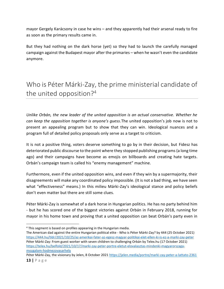mayor Gergely Karácsony in case he wins – and they apparently had their arsenal ready to fire as soon as the primary results came in.

But they had nothing on the dark horse (yet) so they had to launch the carefully managed campaign against the Budapest mayor after the primaries – when he wasn't even the candidate anymore.

#### <span id="page-13-0"></span>Who is Péter Márki-Zay, the prime ministerial candidate of the united opposition?<sup>4</sup>

*Unlike Orbán, the new leader of the united opposition is an actual conservative. Whether he can keep the opposition together is anyone's guess.*The united opposition's job now is not to present an appealing program but to show that they can win. Ideological nuances and a program full of detailed policy proposals only serve as a target to criticism.

It is not a positive thing, voters deserve something to go by in their decision, but Fidesz has deteriorated public discourse to the point where they stopped publishing programs (a long time ago) and their campaigns have become as emojis on billboards and creating hate targets. Orbán's campaign team is called his "enemy management" machine.

Furthermore, even if the united opposition wins, and even if they win by a supermajority, their disagreements will make any coordinated policy impossible. (It is not a bad thing, we have seen what "effectiveness" means.) In this milieu Márki-Zay's ideological stance and policy beliefs don't even matter but there are still some clues.

Péter Márki-Zay is somewhat of a dark horse in Hungarian politics. He has no party behind him - but he has scored one of the biggest victories against Orbán in February 2018, running for mayor in his home town and proving that a united opposition can beat Orbán's party even in

 $\overline{\phantom{a}}$ 

 $4$  This segment is based on profiles appearing in the Hungarian media.

The American dad against the entire Hungarian political elite - Who is Péter Márki-Zay? by 444 (25 October 2021) <https://444.hu/tldr/2021/10/25/az-amerikai-fater-az-egesz-magyar-politikai-elet-ellen-ki-is-ez-a-marki-zay-peter> Péter Márki-Zay: From guest worker with seven children to challenging Orbán by Telex.hu (17 October 2021) [https://telex.hu/belfold/2021/10/17/marki-zay-peter-portre-eletut-elovalasztas-mindenki-magyarorszaga](https://telex.hu/belfold/2021/10/17/marki-zay-peter-portre-eletut-elovalasztas-mindenki-magyarorszaga-mozgalom-hodmezovasarhely)[mozgalom-hodmezovasarhely](https://telex.hu/belfold/2021/10/17/marki-zay-peter-portre-eletut-elovalasztas-mindenki-magyarorszaga-mozgalom-hodmezovasarhely)

Péter Márki-Zay, the visionary by Jelen, 8 October 2021 <https://jelen.media/portre/marki-zay-peter-a-lattato-2361>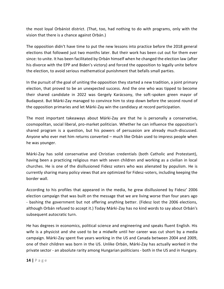the most loyal Orbánist district. (That, too, had nothing to do with programs, only with the vision that there is a chance against Orbán.)

The opposition didn't have time to put the new lessons into practice before the 2018 general elections that followed just two months later. But their work has been cut out for them ever since: to unite. It has been facilitated by Orbán himself when he changed the election law (after his divorce with the EPP and Biden's victory) and forced the opposition to legally unite before the election, to avoid serious mathematical punishment that befalls small parties.

In the pursuit of the goal of uniting the opposition they started a new tradition, a joint primary election, that proved to be an unexpected success. And the one who was tipped to become their shared candidate in 2022 was Gergely Karácsony, the soft-spoken green mayor of Budapest. But Márki-Zay managed to convince him to step down before the second round of the opposition primaries and let Márki-Zay win the candidacy at record participation.

The most important takeaways about Márki-Zay are that he is personally a conservative, cosmopolitan, social liberal, pro-market politician. Whether he can influence the opposition's shared program is a question, but his powers of persuasion are already much-discussed. Anyone who ever met him returns converted – much like Orbán used to impress people when he was younger.

Márki-Zay has solid conservative and Christian credentials (both Catholic and Protestant), having been a practicing religious man with seven children and working as a civilian in local churches. He is one of the disillusioned Fidesz voters who was alienated by populism. He is currently sharing many policy views that are optimized for Fidesz-voters, including keeping the border wall.

According to his profiles that appeared in the media, he grew disillusioned by Fidesz' 2006 election campaign that was built on the message that we are living worse than four years ago - bashing the government but not offering anything better. (Fidesz lost the 2006 elections, although Orbán refused to accept it.) Today Márki-Zay has no kind words to say about Orbán's subsequent autocratic turn.

He has degrees in economics, political science and engineering and speaks fluent English. His wife is a physicist and she used to be a midwife until her career was cut short by a media campaign. Márki-Zay spent five years working in the US and Canada between 2004 and 2009, one of their children was born in the US. Unlike Orbán, Márki-Zay has actually worked in the private sector - an absolute rarity among Hungarian politicians - both in the US and in Hungary.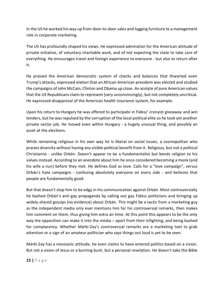In the US he worked his way up from door-to-door sales and lugging furniture to a management role in corporate marketing.

The US has profoundly shaped his views. He expressed admiration for the American attitude of private initiative, of voluntary charitable work, and of not expecting the state to take care of everything. He encourages travel and foreign experience to everyone - but also to return after it.

He praised the American democratic system of checks and balances that thwarted even Trump's attacks, expressed elation that an African American president was elected and studied the campaigns of John McCain, Clinton and Obama up close. An acolyte of pure American values that the US Republicans claim to represent (very unconvincingly), but not completely uncritical. He expressed disapproval of the American health insurance system, for example.

Upon his return to Hungary he was offered to participate in Fidesz' cronyist giveaway and win tenders, but he was repulsed by the corruption of the local political elite so he took yet another private sector job. He moved even within Hungary - a hugely unusual thing, and possibly an asset at the elections.

While remaining religious in his own way he is liberal on social issues, a cosmopolitan who praises diversity without having any visible political benefit from it. Religious, but not a political Christianist - unlike Orbán. Doesn't appear to be a fundamentalist but bends religion to his values instead. According to an anecdote about him he once considered becoming a monk (and his wife a nun) before they met. He defines God as love. Calls for a "love campaign", versus Orbán's hate campaigns - confusing absolutely everyone on every side - and believes that people are fundamentally good.

But that doesn't stop him to be edgy in his communication against Orbán. Most controversially he bashed Orbán's anti-gay propaganda by calling out gay Fidesz politicians and bringing up widely shared gossips (no evidence) about Orbán. This might be a tactic from a marketing guy as the independent media only ever mentions him for his controversial remarks, then makes him comment on them, thus giving him extra air time. At this point this appears to be the only way the opposition can make it into the media – apart from their infighting, and being bashed for complacency. Whether Márki-Zay's controversial remarks are a marketing tool to grab attention or a sign of an amateur politician who says things out loud is yet to be seen.

Márki-Zay has a messianic attitude, he even claims to have entered politics based on a vision. But not a vision of Jesus or a burning bush, but a personal revelation. He doesn't take the Bible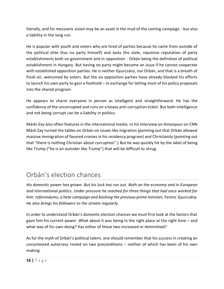literally, and his messianic vision may be an asset in the mud of the coming campaign - but also a liability in the long run.

He is popular with youth and voters who are tired of parties because he came from outside of the political elite (has no party himself) and lacks the stale, repulsive reputation of party establishments both on government and in opposition - Orbán being the definition of political establishment in Hungary. But having no party might become an issue if he cannot cooperate with established opposition parties. He is neither Gyurcsány, nor Orbán, and that is a breath of fresh air, welcomed by voters. But the six opposition parties have already blocked his efforts to launch his own party to gain a foothold – in exchange for letting most of his policy proposals into the shared program.

He appears to charm everyone in person as intelligent and straightforward. He has the confidence of the uncorrupted and runs on a heavy anti-corruption ticket. But both intelligence and not being corrupt can be a liability in politics.

Márki-Zay also often features in the international media. In his interview on Amanpour on CNN Márk-Zay turned the tables on Orbán on issues like migration (pointing out that Orbán allowed massive immigration of favored cronies in his residency program) and Christianity (pointing out that "there is nothing Christian about corruption".) But he was quickly hit by the label of being like Trump ("he is an outsider like Trump") that will be difficult to shrug.

#### <span id="page-16-0"></span>Orbán's election chances

*His domestic power has grown. But his luck has run out. Both on the economy and in European and international politics. Under pressure he reached for three things that had once worked for him: referendums, a hate campaign and bashing the previous prime minister, Ferenc Gyurcsány. He also brings his followers to the streets regularly.* 

In order to understand Orbán's domestic election chances we must first look at the factors that gave him his current power. What about it was being in the right place at the right time – and what was of his own doing? Has either of those two increased or diminished?

As for the myth of Orbán's political talent, one should remember that his success in creating an uncontested autocracy rested on two preconditions – neither of which has been of his own making.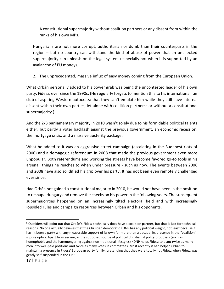1. A constitutional supermajority without coalition partners or any dissent from within the ranks of his own MPs.

Hungarians are not more corrupt, authoritarian or dumb than their counterparts in the region – but no country can withstand the kind of abuse of power that an unchecked supermajority can unleash on the legal system (especially not when it is supported by an avalanche of EU money).

2. The unprecedented, massive influx of easy money coming from the European Union.

What Orbán personally added to his power grab was being the uncontested leader of his own party, Fidesz, ever since the 1990s. (He regularly forgets to mention this to his international fan club of aspiring Western autocrats: that they can't emulate him while they still have internal dissent within their own parties, let alone with coalition partners<sup>5</sup> or without a constitutional supermajority.)

And the 2/3 parliamentary majority in 2010 wasn't solely due to his formidable political talents either, but partly a voter backlash against the previous government, an economic recession, the mortgage crisis, and a massive austerity package.

What he added to it was an aggressive street campaign (escalating in the Budapest riots of 2006) and a demagogic referendum in 2008 that made the previous government even more unpopular. Both referendums and working the streets have become favored go-to tools in his arsenal, things he reaches to when under pressure - such as now. The events between 2006 and 2008 have also solidified his grip over his party. It has not been even remotely challenged ever since.

Had Orbán not gained a constitutional majority in 2010, he would not have been in the position to reshape Hungary and remove the checks on his power in the following years. The subsequent supermajorities happened on an increasingly tilted electoral field and with increasingly lopsided rules and campaign resources between Orbán and his opponents.

 $\overline{\phantom{a}}$ 

<sup>5</sup> Outsiders will point out that Orbán's Fidesz technically does have a coalition partner, but that is just for technical reasons. No one actually believes that the Christian democratic KDNP has any political weight, not least because it hasn't been a party with any measurable support of its own for more than a decade. Its presence in the "coalition" is pure optics. Apart from serving as the supposed source of political Christianist policy proposals (such as homophobia and the hatemongering against non-traditional lifestyles) KDNP helps Fidesz to plant twice as many men into well-paid positions and twice as many votes in committees. Most recently it had helped Orbán to maintain a presence in Fidesz' European party family, pretending that they were totally not Fidesz when Fidesz was gently self-suspended in the EPP.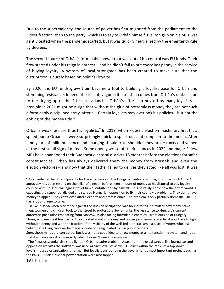Due to the supermajority, the source of power has first migrated from the parliament to the Fidesz fraction, then to the party, which is to say to Orbán himself. His iron grip on his MPs was gently tested when the pandemic started, but it was quickly neutralized by the emergency rule by decrees.

The second source of Orbán's formidable power that was out of his control was EU funds. Their flow started under his reign in earnest – and he didn't fail to put every last penny in the service of buying loyalty. A system of local strongmen has been created to make sure that the distribution is purely based on political loyalty.

By 2020, the EU funds gravy train became a tool to building a loyalist base for Orbán and stemming resistance. Indeed, the recent, vague criticism that comes from Orbán's ranks is due to the drying up of the EU-cash avalanche. Orbán's efforts to buy off as many loyalists as possible in 2021 might be a sign that without the glue of bottomless money they are not such a formidably disciplined army, after all. Certain loyalists may overlook his policies – but not the ebbing of the money tide.<sup>6</sup>

Orbán's weakness are thus his loyalists.<sup>7</sup> In 2019, when Fidesz's election machinery first hit a speed bump Orbánists were surprisingly quick to speak out and complain to the media. After nine years of militant silence and charging shoulder-to-shoulder they broke ranks and yelped at the first small sign of defeat. Some openly wrote off their chances in 2022 and major Fidesz MPs have abandoned their Budapest electoral districts 18 months before the elections for safer constituencies. Orbán has always delivered them the money from Brussels and even the election victories – and now that their father failed to deliver they acted like all was lost. It was

l  $6$  A reminder of the EU's culpability for the emergence of the Hungarian autocracy. In light of how much Orbán's autocracy has been resting on the pillar of a never-before-seen amount of money at his disposal to buy loyalty – coupled with Brussels willingness to let him distribute it all by himself – it is painfully ironic how the entire world is expecting the stupefied, divided and starved Hungarian opposition to fix their country's problems. They don't have money to appeal. They can't even afford experts and professionals. The problem is only partially domestic. The EU has a lot of blame to take.

Just like in 1956 when resistance against the Russian occupation was bound to fail, no matter how many brave men, women and children took to the street to protest the Soviet tanks, the resistance to Hungary's current autocratic push (also emanating from Moscow) is also facing formidable enemies – from outside of Hungary. Those, who enable it financially. They created a wall of money and power pro-democracy activist now have to fight without a penny and with the fraction of the visibility of the well-fed autocrat, amidst a sea of voters who lost belief that a living can ever be made outside of being invited to win public tenders.

Sure, those minds are corrupted. But it was not a good idea to throw money at a malfunctioning system and hope that it will improve itself – exactly when it doesn't need to anymore.

 $<sup>7</sup>$  The Pegasus scandal also shed light on Orbán's cadre problem. Apart from the usual targets like journalists and</sup> opposition activists the software was used against loyalists as well. Distrust within the ranks of a top-down, loyalism-based organisation is normal. But loyalists surrounding the government's most important projects such as the Paks II Russian nuclear power station were also tapped.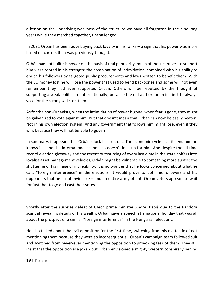a lesson on the underlying weakness of the structure we have all forgotten in the nine long years while they marched together, unchallenged.

In 2021 Orbán has been busy buying back loyalty in his ranks – a sign that his power was more based on carrots than was previously thought.

Orbán had not built his power on the basis of real popularity, much of the incentives to support him were rooted in his strength: the combination of intimidation, combined with his ability to enrich his followers by targeted public procurements and laws written to benefit them. With the EU money lost he will lose the power that used to bend backbones and some will not even remember they had ever supported Orbán. Others will be repulsed by the thought of supporting a weak politician (internationally) because the old authoritarian instinct to always vote for the strong will stop them.

As for the non-Orbánists, when the intimidation of power is gone, when fear is gone, they might be galvanized to vote against him. But that doesn't mean that Orbán can now be easily beaten. Not in his own election system. And any government that follows him might lose, even if they win, because they will not be able to govern.

In summary, it appears that Orbán's luck has run out. The economic cycle is at its end and he knows it – and the international scene also doesn't look up for him. And despite the all-time record election giveaway and the recent outsourcing of every last dime in the state coffers into loyalist asset management vehicles, Orbán might be vulnerable to something more subtle: the shuttering of his image of invincibility. It is no wonder that he looks concerned about what he calls "foreign interference" in the elections. It would prove to both his followers and his opponents that he is not invincible – and an entire army of anti-Orbán voters appears to wait for just that to go and cast their votes.

Shortly after the surprise defeat of Czech prime minister Andrej Babiš due to the Pandora scandal revealing details of his wealth, Orbán gave a speech at a national holiday that was all about the prospect of a similar "foreign interference" in the Hungarian elections.

He also talked about the evil opposition for the first time, switching from his old tactic of not mentioning them because they were so inconsequential. Orbán's campaign team followed suit and switched from never-ever mentioning the opposition to provoking fear of them. They still insist that the opposition is a joke - but Orbán envisioned a mighty western conspiracy behind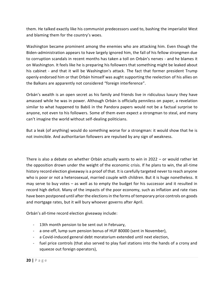them. He talked exactly like his communist predecessors used to, bashing the imperialist West and blaming them for the country's woes.

Washington became prominent among the enemies who are attacking him. Even though the Biden-administration appears to have largely ignored him, the fall of his fellow strongmen due to corruption scandals in recent months has taken a toll on Orbán's nerves - and he blames it on Washington. It feels like he is preparing his followers that something might be leaked about his cabinet - and that it will be Washington's attack. The fact that former president Trump openly endorsed him or that Orbán himself was aught supporting the reelection of his allies on the Balkans are apparently not considered "foreign interference".

Orbán's wealth is an open secret as his family and friends live in ridiculous luxury they have amassed while he was in power. Although Orbán is officially penniless on paper, a revelation similar to what happened to Babiš in the Pandora papers would not be a factual surprise to anyone, not even to his followers. Some of them even expect a strongman to steal, and many can't imagine the world without self-dealing politicians.

But a leak (of anything) would do something worse for a strongman: it would show that he is not invincible. And authoritarian followers are repulsed by any sign of weakness.

There is also a debate on whether Orbán actually wants to win in 2022 – or would rather let the opposition drown under the weight of the economic crisis. If he plans to win, the all-time history record election giveaway is a proof of that. It is carefully targeted never to reach anyone who is poor or not a heterosexual, married couple with children. But it is huge nonetheless. It may serve to buy votes – as well as to empty the budget for his successor and it resulted in record high deficit. Many of the impacts of the poor economy, such as inflation and rate rises have been postponed until after the elections in the forms of temporary price controls on goods and mortgage rates, but it will bury whoever governs after April.

Orbán's all-time record election giveaway include:

- 13th month pension to be sent out in February,
- a one-off, lump sum pension bonus of HUF 80000 (sent in November),
- a Covid-induced general debt moratorium extended until next election,
- fuel price controls (that also served to play fuel stations into the hands of a crony and squeeze out foreign operators),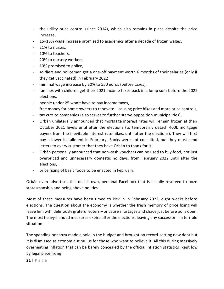- the utility price control (since 2014), which also remains in place despite the price increase,
- 15+15% wage increase promised to academics after a decade of frozen wages,
- 21% to nurses,
- 10% to teachers,
- 20% to nursery workers,
- 10% promised to police,
- soldiers and policemen get a one-off payment worth 6 months of their salaries (only if they get vaccinated) in February 2022
- minimal wage increase by 20% to 550 euros (before taxes),
- families with children get their 2021 income taxes back in a lump sum before the 2022 elections,
- people under 25 won't have to pay income taxes,
- free money for home owners to renovate causing price hikes and more price controls,
- tax cuts to companies (also serves to further starve opposition municipalities),
- Orbán unilaterally announced that mortgage interest rates will remain frozen at their October 2021 levels until after the elections (to temporarily detach 400k mortgage payers from the inevitable interest rate hikes, until after the elections). They will first pay a lower installment in February. Banks were not consulted, but they must send letters to every customer that they have Orbán to thank for it.
- Orbán personally announced that non-cash vouchers can be used to buy food, not just overpriced and unnecessary domestic holidays, from February 2022 until after the elections,
- price fixing of basic foods to be enacted in February.

Orbán even advertises this on his own, personal Facebook that is usually reserved to ooze statesmanship and being above politics.

Most of these measures have been timed to kick in in February 2022, eight weeks before elections. The question about the economy is whether the fresh memory of price fixing will leave him with deliriously grateful voters – or cause shortages and chaos just before polls open. The most heavy-handed measures expire after the elections, leaving any successor in a terrible situation.

The spending bonanza made a hole in the budget and brought on record-setting new debt but it is dismissed as economic stimulus for those who want to believe it. All this during massively overheating inflation that can be barely concealed by the official inflation statistics, kept low by legal price fixing.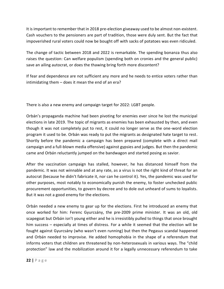It is important to remember that in 2018 pre-election giveaway used to be almost non-existent. Cash vouchers to the pensioners are part of tradition, those were duly sent. But the fact that impoverished rural voters could now be bought off with sacks of potatoes was even ridiculed.

The change of tactic between 2018 and 2022 is remarkable. The spending bonanza thus also raises the question: Can welfare populism (spending both on cronies and the general public) save an ailing autocrat, or does the thawing bring forth more discontent?

If fear and dependence are not sufficient any more and he needs to entice voters rather than intimidating them – does it mean the end of an era?

There is also a new enemy and campaign target for 2022: LGBT people.

Orbán's propaganda machine had been pivoting for enemies ever since he lost the municipal elections in late 2019. The topic of migrants as enemies has been exhausted by then, and even though it was not completely put to rest, it could no longer serve as the one-word election program it used to be. Orbán was ready to put the migrants as designated hate target to rest. Shortly before the pandemic a campaign has been prepared (complete with a direct mail campaign and a full-blown media offensive) against gypsies and judges. But then the pandemic came and Orbán reluctantly jumped on the bandwagon and started posing as savior.

After the vaccination campaign has stalled, however, he has distanced himself from the pandemic. It was not winnable and at any rate, as a virus is not the right kind of threat for an autocrat (because he didn't fabricate it, nor can he control it). Yes, the pandemic was used for other purposes, most notably to economically punish the enemy, to foster unchecked public procurement opportunities, to govern by decree and to dole out unheard of sums to loyalists. But it was not a good enemy for the elections.

Orbán needed a new enemy to gear up for the elections. First he introduced an enemy that once worked for him: Ferenc Gyurcsány, the pre-2009 prime minister. It was an old, old scapegoat but Orbán isn't young either and he is irresistibly pulled to things that once brought him success – especially at times of distress. For a while it seemed that the election will be fought against Gyurcsány (who wasn't even running) but then the Pegasus scandal happened and Orbán needed to improvise. He added homophobia in the shape of a referendum that informs voters that children are threatened by non-heterosexuals in various ways. The "child protection" law and the mobilization around it for a legally unnecessary referendum to take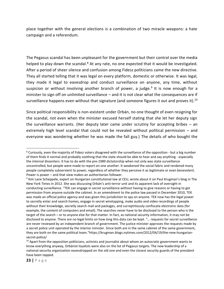place together with the general elections is a combination of two miracle weapons: a hate campaign and a referendum.

The Pegasus scandal has been unpleasant for the government but their control over the media helped to play down the scandal.<sup>8</sup> At any rate, no one expected that it would be investigated. After a period of sheer silence and confusion among Fidesz politicians came the new directive. They all started telling that it was legal on every platform, domestic or otherwise. It was legal, they made it legal to eavesdrop and conduct surveillance on anyone, any time, without suspicion or without involving another branch of power, a judge.<sup>9</sup> It is now enough for a minister to sign off on unlimited surveillance – and it is not clear what the consequences are if surveillance happens even without that signature (and someone figures it out and proves it).<sup>10</sup>

Since political responsibility is non-existent under Orbán, no one thought of even resigning for the scandal, not even when the minister excused herself stating that she let her deputy sign the surveillance warrants. (Her deputy later came under scrutiny for accepting bribes – an extremely high level scandal that could not be revealed without political permission – and everyone was wondering whether he was made the fall guy.) The details of who bought the

 $\overline{\phantom{a}}$ 

<sup>8</sup> Curiously, even the majority of Fidesz voters disagreed with the surveillance of the opposition - but a big number of them finds it normal and probably soothing that the state should be able to hear and say anything - especially the internal dissenters. It has to do with the pre-1989 dictatorship when not only was state surveillance uncontrolled, but people were made to report on one another. It weakened the social fabric and rendered many people completely subservient to power, regardless of whether they perceive it as legitimate or even benevolent. Power is power – and that view makes an authoritarian follower.

<sup>&</sup>lt;sup>9</sup> Kim Lane Scheppele, expert on Hungarian constitutional law at CEU, wrote about it on Paul Krugman's blog in The New York Times in 2012. She was discussing Orbán's anti-terror unit and its apparent lack of oversight in conducting surveillance. "TEK can engage in secret surveillance without having to give reasons or having to get permission from anyone outside the cabinet. In an amendment to the police law passed in December 2010, TEK was made an official police agency and was given this jurisdiction to spy on anyone. TEK now has the legal power to secretly enter and search homes, engage in secret wiretapping, make audio and video recordings of people without their knowledge, secretly search mail and packages, and surreptitiously confiscate electronic data (for example, the content of computers and email). The searches never have to be disclosed to the person who is the target of the search – or to anyone else for that matter. In fact, as national security information, it may not be disclosed to anyone. There are no legal limits on how long this data can be kept. "… requests for secret surveillance are never reviewed by an independent branch of government. The justice minister approves the requests made by a secret police unit operated by the interior minister. Since both are in the same cabinet of the same government, they are both on the same political team."https://krugman.blogs.nytimes.com/2012/04/19/the-new-hungariansecret-police/

 $10$  Apart from the opposition politicians, activists and journalist about whom an autocratic government wants to know everything anyway, Orbánist loyalists were also on the list of Pegasus targets. The new leadership of a national security organization eavesdropped on the old one and even the closest security guards of the president have been tapped.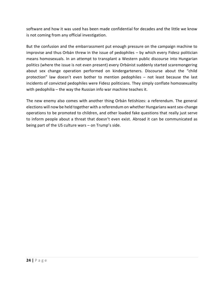software and how it was used has been made confidential for decades and the little we know is not coming from any official investigation.

But the confusion and the embarrassment put enough pressure on the campaign machine to improvise and thus Orbán threw in the issue of pedophiles – by which every Fidesz politician means homosexuals. In an attempt to transplant a Western public discourse into Hungarian politics (where the issue is not even present) every Orbánist suddenly started scaremongering about sex change operation performed on kindergarteners. Discourse about the "child protection" law doesn't even bother to mention pedophiles – not least because the last incidents of convicted pedophiles were Fidesz politicians. They simply conflate homosexuality with pedophilia – the way the Russian info war machine teaches it.

The new enemy also comes with another thing Orbán fetishizes: a referendum. The general elections will now be held together with a referendum on whether Hungarians want sex-change operations to be promoted to children, and other loaded fake questions that really just serve to inform people about a threat that doesn't even exist. Abroad it can be communicated as being part of the US culture wars – on Trump's side.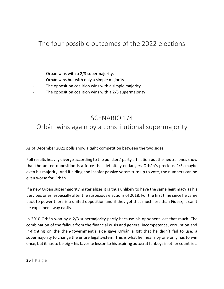- <span id="page-25-0"></span>Orbán wins with a 2/3 supermajority.
- Orbán wins but with only a simple majority.
- The opposition coalition wins with a simple majority.
- The opposition coalition wins with a 2/3 supermajority.

#### <span id="page-25-1"></span>SCENARIO 1/4 Orbán wins again by a constitutional supermajority

As of December 2021 polls show a tight competition between the two sides.

Poll results heavily diverge according to the pollsters' party affiliation but the neutral ones show that the united opposition is a force that definitely endangers Orbán's precious 2/3, maybe even his majority. And if hiding and insofar passive voters turn up to vote, the numbers can be even worse for Orbán.

If a new Orbán supermajority materializes it is thus unlikely to have the same legitimacy as his pervious ones, especially after the suspicious elections of 2018. For the first time since he came back to power there is a united opposition and if they get that much less than Fidesz, it can't be explained away easily.

In 2010 Orbán won by a 2/3 supermajority partly because his opponent lost that much. The combination of the fallout from the financial crisis and general incompetence, corruption and in-fighting on the then-government's side gave Orbán a gift that he didn't fail to use: a supermajority to change the entire legal system. This is what he means by one only has to win once, but it has to be big – his favorite lesson to his aspiring autocrat fanboys in other countries.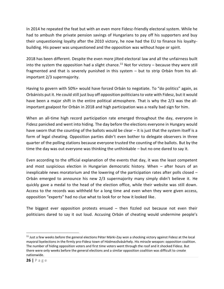In 2014 he repeated the feat but with an even more Fidesz-friendly electoral system. While he had to ambush the private pension savings of Hungarians to pay off his supporters and buy their unquestioning loyalty after the 2010 victory, he now had the EU to finance his loyaltybuilding. His power was unquestioned and the opposition was without hope or spirit.

2018 has been different. Despite the even more jilted electoral law and all the unfairness built into the system the opposition had a slight chance.<sup>11</sup> Not for victory – because they were still fragmented and that is severely punished in this system – but to strip Orbán from his allimportant 2/3 supermajority.

Having to govern with 50%+ would have forced Orbán to negotiate. To "do politics" again, as Orbánists put it. He could still just buy off opposition politicians to vote with Fidesz, but it would have been a major shift in the entire political atmosphere. That is why the 2/3 was the allimportant goalpost for Orbán in 2018 and high participation was a really bad sign for him.

When an all-time high record participation rate emerged throughout the day, everyone in Fidesz panicked and went into hiding. The day before the elections everyone in Hungary would have sworn that the counting of the ballots would be clear – it is just that the system itself is a form of legal cheating. Opposition parties didn't even bother to delegate observers in three quarter of the polling stations because everyone trusted the counting of the ballots. But by the time the day was out everyone was thinking the unthinkable – but no one dared to say it.

Even according to the official explanation of the events that day, it was the least competent and most suspicious election in Hungarian democratic history. When – after hours of an inexplicable news moratorium and the lowering of the participation rates after polls closed – Orbán emerged to announce his new 2/3 supermajority many simply didn't believe it. He quickly gave a medal to the head of the election office, while their website was still down. Access to the records was withheld for a long time and even when they were given access, opposition "experts" had no clue what to look for or how it looked like.

The biggest ever opposition protests ensued – then fizzled out because not even their politicians dared to say it out loud. Accusing Orbán of cheating would undermine people's

 $\overline{\phantom{a}}$ 

 $11$  Just a few weeks before the general elections Péter Márki-Zay won a shocking victory against Fidesz at the local mayoral byelections in the firmly pro-Fidesz town of Hódmezővásárhely. His miracle weapon: opposition coalition. The number of hiding opposition voters and first time voters went through the roof and it shocked Fidesz. But there were only weeks before the general elections and a similar opposition coalition was difficult to create nationwide.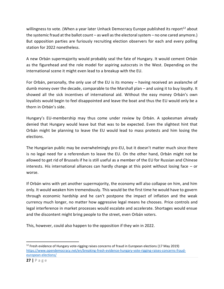willingness to vote. (When a year later Unhack Democracy Europe published its report<sup>12</sup> about the systemic fraud at the ballot count – as well as the electoral system – no one cared anymore.) But opposition parties are furiously recruiting election observers for each and every polling station for 2022 nonetheless.

A new Orbán supermajority would probably seal the fate of Hungary. It would cement Orbán as the figurehead and the role model for aspiring autocrats in the West. Depending on the international scene it might even lead to a breakup with the EU.

For Orbán, personally, the only use of the EU is its money – having received an avalanche of dumb money over the decade, comparable to the Marshall plan – and using it to buy loyalty. It showed all the sick incentives of international aid. Without the easy money Orbán's own loyalists would begin to feel disappointed and leave the boat and thus the EU would only be a thorn in Orbán's side.

Hungary's EU-membership may thus come under review by Orbán. A spokesman already denied that Hungary would leave but that was to be expected. Even the slightest hint that Orbán might be planning to leave the EU would lead to mass protests and him losing the elections.

The Hungarian public may be overwhelmingly pro-EU, but it doesn't matter much since there is no legal need for a referendum to leave the EU. On the other hand, Orbán might not be allowed to get rid of Brussels if he is still useful as a member of the EU for Russian and Chinese interests. His international alliances can hardly change at this point without losing face – or worse.

If Orbán wins with yet another supermajority, the economy will also collapse on him, and him only. It would weaken him tremendously. This would be the first time he would have to govern through economic hardship and he can't postpone the impact of inflation and the weak currency much longer, no matter how aggressive legal means he chooses. Price controls and legal interference in market processes would escalate and accelerate. Shortages would ensue and the discontent might bring people to the street, even Orbán voters.

This, however, could also happen to the opposition if they win in 2022.

 $\overline{\phantom{a}}$  $12$  Fresh evidence of Hungary vote-rigging raises concerns of fraud in European elections (17 May 2019) [https://www.opendemocracy.net/en/breaking-fresh-evidence-hungary-vote-rigging-raises-concerns-fraud](https://www.opendemocracy.net/en/breaking-fresh-evidence-hungary-vote-rigging-raises-concerns-fraud-european-elections/)[european-elections/](https://www.opendemocracy.net/en/breaking-fresh-evidence-hungary-vote-rigging-raises-concerns-fraud-european-elections/)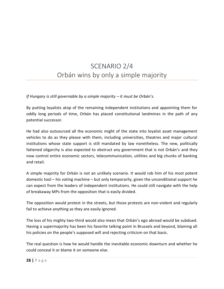## <span id="page-28-0"></span>SCENARIO 2/4 Orbán wins by only a simple majority

#### *If Hungary is still governable by a simple majority – it must be Orbán's.*

By putting loyalists atop of the remaining independent institutions and appointing them for oddly long periods of time, Orbán has placed constitutional landmines in the path of any potential successor.

He had also outsourced all the economic might of the state into loyalist asset management vehicles to do as they please with them, including universities, theatres and major cultural institutions whose state support is still mandated by law nonetheless. The new, politically fattened oligarchy is also expected to obstruct any government that is not Orbán's and they now control entire economic sectors, telecommunication, utilities and big chunks of banking and retail.

A simple majority for Orbán is not an unlikely scenario. It would rob him of his most potent domestic tool – his voting machine – but only temporarily, given the unconditional support he can expect from the leaders of independent institutions. He could still navigate with the help of breakaway MPs from the opposition that is easily divided.

The opposition would protest in the streets, but those protests are non-violent and regularly fail to achieve anything as they are easily ignored.

The loss of his mighty two-third would also mean that Orbán's ego abroad would be subdued. Having a supermajority has been his favorite talking point in Brussels and beyond, blaming all his policies on the people's supposed will and rejecting criticism on that basis.

The real question is how he would handle the inevitable economic downturn and whether he could conceal it or blame it on someone else.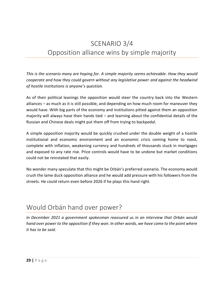## <span id="page-29-0"></span>SCENARIO 3/4 Opposition alliance wins by simple majority

*This is the scenario many are hoping for. A simple majority seems achievable. How they would cooperate and how they could govern without any legislative power and against the headwind of hostile institutions is anyone's question.* 

As of their political leanings the opposition would steer the country back into the Western alliances – as much as it is still possible, and depending on how much room for maneuver they would have. With big parts of the economy and institutions pitted against them an opposition majority will always have their hands tied – and learning about the confidential details of the Russian and Chinese deals might put them off from trying to backpedal.

A simple opposition majority would be quickly crushed under the double weight of a hostile institutional and economic environment and an economic crisis coming home to roost, complete with inflation, weakening currency and hundreds of thousands stuck in mortgages and exposed to any rate rise. Price controls would have to be undone but market conditions could not be reinstated that easily.

No wonder many speculate that this might be Orbán's preferred scenario. The economy would crush the lame duck opposition alliance and he would add pressure with his followers from the streets. He could return even before 2026 if he plays this hand right.

#### <span id="page-29-1"></span>Would Orbán hand over power?

*In December 2021 a government spokesman reassured us in an interview that Orbán would hand over power to the opposition if they won. In other words, we have come to the point where it has to be said.*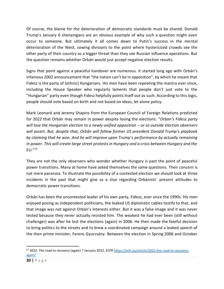Of course, the blame for the deterioration of democratic standards must be shared. Donald Trump's January 6 shenanigans are an obvious example of why such a question might even occur to someone. But ultimately it all comes down to Putin's success in the mental deterioration of the West, sowing divisions to the point where hystericized crowds see the other party of their country as a bigger threat than they see Russian influence operations. But the question remains whether Orbán would just accept negative election results.

Signs that point against a peaceful handover are numerous. It started long ago with Orbán's infamous 2002 announcement that "the nation can't be in opposition", by which he meant that Fidesz is the party of (ethnic) Hungarians. His men have been repeating the mantra ever since, including the House Speaker who regularly laments that people don't just vote to the "Hungarian" party even though Fidesz helpfully points itself out as such. According to this logic, people should vote based on birth and not based on ideas, let alone policy.

Mark Leonard and Jeremy Shapiro from the European Council of Foreign Relations predicted for 2022 that Orbán may remain in power despite losing the elections: "*Orban's Fidesz party will lose the Hungarian election to a newly unified opposition – or so outside election observers will assert. But, despite that, Orbán will follow former US president Donald Trump's playbook by claiming that he won. And he will improve upon Trump's performance by actually remaining in power. This will create large street protests in Hungary and a crisis between Hungary and the EU.*" 13

They are not the only observers who wonder whether Hungary is past the point of peaceful power transitions. Many at home have asked themselves the same questions. Their concern is not mere paranoia. To illustrate the possibility of a contested election we should look at three incidents in the past that might give as a clue regarding Orbánists' present attitudes to democratic power transitions.

Orbán has been the uncontested leader of his own party, Fidesz, ever since the 1990s. His men enjoyed posing as independent politicians, the leaked US diplomatic cables testify to that, and that image was not against Orbán's interests either. But it was a false image and it was never tested because they never actually resisted him. The weakest he had ever been (still without challenger) was after he lost the elections (again) in 2006. He then made the fateful decision to bring politics to the streets and to brew a coordinated campaign around a leaked speech of the then prime minister, Ferenc Gyurcsány. Between the election in Spring 2006 and October

 $\overline{a}$ 

<sup>&</sup>lt;sup>13</sup> 2022: The road to recovery (again) 7 January 2022, ECF[R https://ecfr.eu/article/2022-the-road-to-recovery](https://ecfr.eu/article/2022-the-road-to-recovery-again/)[again/](https://ecfr.eu/article/2022-the-road-to-recovery-again/)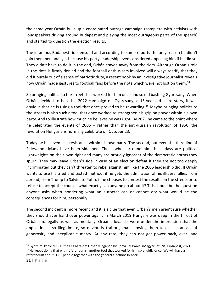the same year Orbán built up a coordinated outrage campaign (complete with activists with loudspeakers driving around Budapest and playing the most outrageous parts of the speech) and started to question the election results.

The infamous Budapest riots ensued and according to some reports the only reason he didn't join them personally is because his party leadership even considered opposing him if he did so. They didn't have to do it in the end, Orbán stayed away from the riots. Although Orbán's role in the riots is firmly denied and the football enthusiasts involved will always testify that they did it purely out of a sense of patriotic duty, a recent book by an investigative journalist reveals how Orbán made gestures to football fans before the riots which were not lost on them.<sup>14</sup>

So bringing politics to the streets has worked for him once and so did bashing Gyurcsány. When Orbán decided to base his 2022 campaign on Gyurcsány, a 15-year-old scare story, it was obvious that he is using a tool that once proved to be rewarding. <sup>15</sup> Maybe bringing politics to the streets is also such a tool that once worked to strengthen his grip on power within his own party. And to illustrate how much he believes he was right: By 2021 he came to the point where he celebrated the events of 2006 – rather than the anti-Russian revolution of 1956, the revolution Hungarians normally celebrate on October 23.

Today he has even less resistance within his own party. The second, but even the third line of Fidesz politicians have been sidelined. Those who surround him these days are political lightweights on their own right and many are proudly ignorant of the democratic norms they spurn. They may leave Orbán's side in case of an election defeat if they are not too deeply incriminated but they can't threaten to rebel against him like the 2006 leadership did. If Orbán wants to use his tried and tested method, if he gets the admiration of his illiberal allies from abroad, from Trump to Salvini to Putin, if he chooses to contest the results on the streets or to refuse to accept the count – what exactly can anyone do about it? This should be the question anyone asks when pondering what an autocrat can or cannot do: what would be the consequences for him, personally.

The second incident is more recent and it is a clue that even Orbán's men aren't sure whether they should ever hand over power again. In March 2019 Hungary was deep in the throat of Orbánism, legally as well as mentally. Orbán's loyalists were under the impression that the opposition is so illegitimate, so obviously traitors, that allowing them to exist is an act of generosity and inexplicable mercy. At any rate, they can not get power back, ever, and

 $\overline{\phantom{a}}$ 

<sup>14</sup> Győzelmi kényszer - Futball és hatalom Orbán világában by Rényi Pál Dániel (Magyar Jeti Zrt, Budapest, 2021)

<sup>&</sup>lt;sup>15</sup> He keeps doing that with referendums, another tool that worked for him splendidly once. We will have a referendum about LGBT people together with the general elections in April.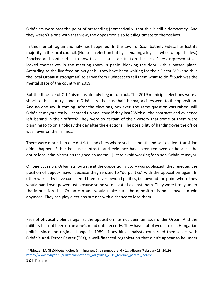Orbánists were past the point of pretending (domestically) that this is still a democracy. And they weren't alone with that view, the opposition also felt illegitimate to themselves.

In this mental fog an anomaly has happened. In the town of Szombathely Fidesz has lost its majority in the local council. (Not to an election but by alienating a loyalist who swapped sides.) Shocked and confused as to how to act in such a situation the local Fidesz representatives locked themselves in the meeting room in panic, blocking the door with a potted plant. According to the live feed on nyugat.hu they have been waiting for their Fidesz MP (and thus the local Orbánist strongman) to arrive from Budapest to tell them what to do.<sup>16</sup> Such was the mental state of the country in 2019.

But the thick ice of Orbánism has already began to crack. The 2019 municipal elections were a shock to the country – and to Orbánists – because half the major cities went to the opposition. And no one saw it coming. After the elections, however, the same question was raised: will Orbánist mayors really just stand up and leave if they lost? With all the contracts and evidence left behind in their offices? They were so certain of their victory that some of them were planning to go on a holiday the day after the elections. The possibility of handing over the office was never on their minds.

There were more than one districts and cities where such a smooth and self-evident transition didn't happen. Either because contracts and evidence have been removed or because the entire local administration resigned en masse – just to avoid working for a non-Orbánist mayor.

On one occasion, Orbánists' outrage at the opposition victory was publicized: they rejected the position of deputy mayor because they refused to "do politics" with the opposition again. In other words thy have considered themselves beyond politics, i.e. beyond the point where they would hand over power just because some voters voted against them. They were firmly under the impression that Orbán can and would make sure the opposition is not allowed to win anymore. They can play elections but not with a chance to lose them.

Fear of physical violence against the opposition has not been an issue under Orbán. And the military has not been on anyone's mind until recently. They have not played a role in Hungarian politics since the regime change in 1989. If anything, analysts concerned themselves with Orbán's Anti-Terror Center (TEK), a well-financed organization that didn't appear to be under

 $\overline{a}$ 

<sup>&</sup>lt;sup>16</sup> Fideszen kívüli többség, időhúzás, migránsozás a szombathelyi közgyűlésen (February 28, 2019) [https://www.nyugat.hu/cikk/szombathelyi\\_kozgyules\\_2019\\_februar\\_percrol\\_percre](https://www.nyugat.hu/cikk/szombathelyi_kozgyules_2019_februar_percrol_percre)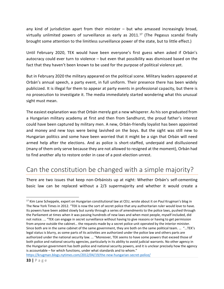any kind of jurisdiction apart from their minister – but who amassed increasingly broad, virtually unlimited powers of surveillance as early as  $2011<sup>17</sup>$  (The Pegasus scandal finally brought some attention to the limitless surveillance power of the state, but to little effect.)

Until February 2020, TEK would have been everyone's first guess when asked if Orbán's autocracy could ever turn to violence – but even that possibility was dismissed based on the fact that they haven't been known to be used for the purpose of political violence yet.

But in February 2020 the military appeared on the political scene. Military leaders appeared at Orbán's annual speech, a party event, in full uniform. Their presence there has been widely publicized. It is illegal for them to appear at party events in professional capacity, but there is no prosecution to investigate it. The media immediately started wondering what this unusual sight must mean.

The easiest explanation was that Orbán merely got a new whisperer. As his son graduated from a Hungarian military academy at first and then from Sandhurst, the proud father's interest could have been captured by military men. A new, Orbán-friendly loyalist has been appointed and money and new toys were being lavished on the boys. But the sight was still new to Hungarian politics and some have been worried that it might be a sign that Orbán will need armed help after the elections. And as police is short-staffed, underpaid and disillusioned (many of them only serve because they are not allowed to resigned at the moment), Orbán had to find another ally to restore order in case of a post-election unrest.

#### <span id="page-33-0"></span>Can the constitution be changed with a simple majority?

There are two issues that keep non-Orbánists up at night: Whether Orbán's self-cementing basic law can be replaced without a 2/3 supermajority and whether it would create a

<https://krugman.blogs.nytimes.com/2012/04/19/the-new-hungarian-secret-police/>

 $\overline{\phantom{a}}$ 

<sup>&</sup>lt;sup>17</sup> Kim Lane Scheppele, expert on Hungarian constitutional law at CEU, wrote about it on Paul Krugman's blog in The New York Times in 2012. "TEK is now the sort of secret police that any authoritarian ruler would love to have. Its powers have been added slowly but surely through a series of amendments to the police laws, pushed through the Parliament at times when it was passing hundreds of new laws and when most people, myself included, did not notice. ... "TEK can engage in secret surveillance without having to give reasons or having to get permission from anyone outside the cabinet… the requests made by a secret police unit operated by the interior minister. Since both are in the same cabinet of the same government, they are both on the same political team. … "…TEK's legal status is blurry, as some parts of its activities are authorized under the police law and others parts are authorized under the national security law. … "Moreover, TEK seems to have some powers that exceed those of both police and national security agencies, particularly in its ability to avoid judicial warrants. No other agency in the Hungarian government has both police and national security powers, and it is unclear precisely how the agency is accountable – for which functions, under what standards and to whom."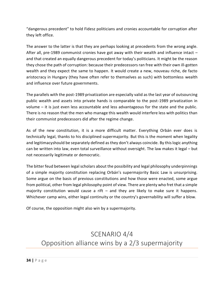"dangerous precedent" to hold Fidesz politicians and cronies accountable for corruption after they left office.

The answer to the latter is that they are perhaps looking at precedents from the wrong angle. After all, pre-1989 communist cronies have got away with their wealth and influence intact – and that created an equally dangerous precedent for today's politicians. It might be the reason they chose the path of corruption: because their predecessors ran free with their own ill-gotten wealth and they expect the same to happen. It would create a new, nouveau riche, de facto aristocracy in Hungary (they have often refer to themselves as such) with bottomless wealth and influence over future governments.

The parallels with the post-1989 privatization are especially valid as the last year of outsourcing public wealth and assets into private hands is comparable to the post-1989 privatization in volume – it is just even less accountable and less advantageous for the state and the public. There is no reason that the men who manage this wealth would interfere less with politics than their communist predecessors did after the regime change.

As of the new constitution, it is a more difficult matter. Everything Orbán ever does is technically legal, thanks to his disciplined supermajority. But this is the moment when legality and legitimacyshould be separately defined as they don't always coincide. By this logic anything can be written into law, even total surveillance without oversight. The law makes it legal – but not necessarily legitimate or democratic.

The bitter feud between legal scholars about the possibility and legal philosophy underpinnings of a simple majority constitution replacing Orbán's supermajority Basic Law is unsurprising. Some argue on the basis of previous constitutions and how those were enacted, some argue from political, other from legal philosophy point of view. There are plenty who fret that a simple majority constitution would cause a rift  $-$  and they are likely to make sure it happens. Whichever camp wins, either legal continuity or the country's governability will suffer a blow.

Of course, the opposition might also win by a supermajority.

# <span id="page-34-0"></span>SCENARIO 4/4 Opposition alliance wins by a 2/3 supermajority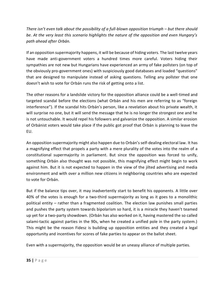*There isn't even talk about the possibility of a full-blown opposition triumph – but there should be. At the very least this scenario highlights the nature of the opposition and even Hungary's path ahead after Orbán.* 

If an opposition supermajority happens, it will be because of hiding voters. The last twelve years have made anti-government voters a hundred times more careful. Voters hiding their sympathies are not new but Hungarians have experienced an army of fake pollsters (on top of the obviously pro-government ones) with suspiciously good databases and loaded "questions" that are designed to manipulate instead of asking questions. Telling any pollster that one doesn't wish to vote for Orbán runs the risk of getting onto a list.

The other reasons for a landslide victory for the opposition alliance could be a well-timed and targeted scandal before the elections (what Orbán and his men are referring to as "foreign interference"). If the scandal hits Orbán's person, like a revelation about his private wealth, it will surprise no one, but it will send the message that he is no longer the strongest one and he is not untouchable. It would repel his followers and galvanize the opposition. A similar erosion of Orbánist voters would take place if the public got proof that Orbán is planning to leave the EU.

An opposition supermajority might also happen due to Orbán's self-dealing electoral law. It has a magnifying effect that propels a party with a mere plurality of the votes into the realm of a constitutional supermajority in parliament. But since the opposition was forced to unify, something Orbán also thought was not possible, this magnifying effect might begin to work against him. But it is not expected to happen in the view of the jilted advertising and media environment and with over a million new citizens in neighboring countries who are expected to vote for Orbán.

But if the balance tips over, it may inadvertently start to benefit his opponents. A little over 40% of the votes is enough for a two-third supermajority as long as it goes to a monolithic political entity – rather than a fragmented coalition. The election law punishes small parties and pushes the party system towards bipolarism so hard, it is a miracle they haven't teamed up yet for a two-party showdown. (Orbán has also worked on it, having mastered the so called salami-tactic against parties in the 90s, when he created a unified pole in the party system.) This might be the reason Fidesz is building up opposition entities and they created a legal opportunity and incentives for scores of fake parties to appear on the ballot sheet.

Even with a supermajority, the opposition would be an uneasy alliance of multiple parties.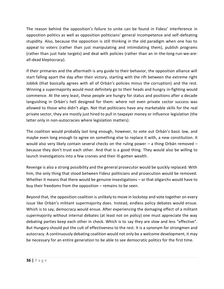The reason behind the opposition's failure to unite can be found in Fidesz' interference in opposition politics as well as opposition politicians' general incompetence and self-defeating stupidity. Also, because the opposition is still thinking in the old paradigm when one has to appeal to voters (rather than just manipulating and intimidating them), publish programs (rather than just hate targets) and deal with policies (rather than an in-the-long-run-we-areall-dead kleptocracy).

If their primaries and the aftermath is any guide to their behavior, the opposition alliance will start falling apart the day after their victory, starting with the rift between the extreme right Jobbik (that basically agrees with all of Orbán's policies minus the corruption) and the rest. Winning a supermajority would most definitely go to their heads and hungry in-fighting would commence. At the very least, these people are hungry for status and positions after a decade languishing in Orbán's hell designed for them: where not even private sector success was allowed to those who didn't align. Not that politicians have any marketable skills for the real private sector, they are mostly just hired to pull in taxpayer money or influence legislation (the latter only in non-autocracies where legislation matters).

The coalition would probably last long enough, however, to vote out Orbán's basic law, and maybe even long enough to agree on something else to replace it with, a new constitution. It would also very likely contain several checks on the ruling power  $-$  a thing Orbán removed  $$ because they don't trust each other. And that is a good thing. They would also be willing to launch investigations into a few cronies and their ill-gotten wealth.

Revenge is also a strong possibility and the general prosecutor would be quickly replaced. With him, the only thing that stood between Fidesz politicians and prosecution would be removed. Whether it means that there would be genuine investigations – or that oligarchs would have to buy their freedoms from the opposition – remains to be seen.

Beyond that, the opposition coalition is unlikely to move in lockstep and vote together on every issue like Orbán's militant supermajority does. Instead, endless policy debates would ensue. Which is to say, democracy would ensue. After experiencing the damaging effect of a militant supermajority without internal debates (at least not on policy) one must appreciate the way debating parties keep each other in check. Which is to say they are slow and less "effective". But Hungary should put the cult of effectiveness to the rest. It is a synonym for strongmen and autocracy. A continuously debating coalition would not only be a welcome development, it may be necessary for an entire generation to be able to see democratic politics for the first time.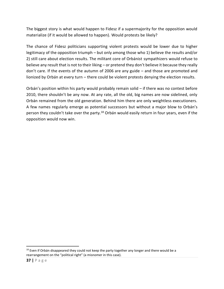The biggest story is what would happen to Fidesz if a supermajority for the opposition would materialize (if it would be allowed to happen). Would protests be likely?

The chance of Fidesz politicians supporting violent protests would be lower due to higher legitimacy of the opposition triumph – but only among those who 1) believe the results and/or 2) still care about election results. The militant core of Orbánist sympathizers would refuse to believe any result that is not to their liking – or pretend they don't believe it because they really don't care. If the events of the autumn of 2006 are any guide – and those are promoted and lionized by Orbán at every turn – there could be violent protests denying the election results.

Orbán's position within his party would probably remain solid – if there was no contest before 2010, there shouldn't be any now. At any rate, all the old, big names are now sidelined, only Orbán remained from the old generation. Behind him there are only weightless executioners. A few names regularly emerge as potential successors but without a major blow to Orbán's person they couldn't take over the party.<sup>18</sup> Orbán would easily return in four years, even if the opposition would now win.

 $\overline{a}$ 

 $18$  Even if Orbán disappeared they could not keep the party together any longer and there would be a rearrangement on the "political right" (a misnomer in this case).